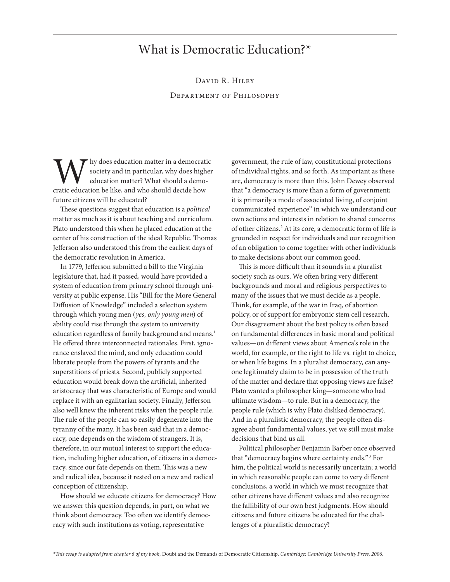## What is Democratic Education?\*

David R. Hiley Department of Philosophy

W hy does education matter in a democratic<br>society and in particular, why does higher<br>education matter? What should a demo-<br>cratic education be like, and who should decide how society and in particular, why does higher education matter? What should a democratic education be like, and who should decide how future citizens will be educated?

These questions suggest that education is a *political* matter as much as it is about teaching and curriculum. Plato understood this when he placed education at the center of his construction of the ideal Republic. Thomas Jefferson also understood this from the earliest days of the democratic revolution in America.

In 1779, Jefferson submitted a bill to the Virginia legislature that, had it passed, would have provided a system of education from primary school through university at public expense. His "Bill for the More General Diffusion of Knowledge" included a selection system through which young men (*yes, only young men*) of ability could rise through the system to university education regardless of family background and means.<sup>1</sup> He offered three interconnected rationales. First, ignorance enslaved the mind, and only education could liberate people from the powers of tyrants and the superstitions of priests. Second, publicly supported education would break down the artificial, inherited aristocracy that was characteristic of Europe and would replace it with an egalitarian society. Finally, Jefferson also well knew the inherent risks when the people rule. The rule of the people can so easily degenerate into the tyranny of the many. It has been said that in a democracy, one depends on the wisdom of strangers. It is, therefore, in our mutual interest to support the education, including higher education, of citizens in a democracy, since our fate depends on them. This was a new and radical idea, because it rested on a new and radical conception of citizenship.

How should we educate citizens for democracy? How we answer this question depends, in part, on what we think about democracy. Too often we identify democracy with such institutions as voting, representative

government, the rule of law, constitutional protections of individual rights, and so forth. As important as these are, democracy is more than this. John Dewey observed that "a democracy is more than a form of government; it is primarily a mode of associated living, of conjoint communicated experience" in which we understand our own actions and interests in relation to shared concerns of other citizens.<sup>2</sup> At its core, a democratic form of life is grounded in respect for individuals and our recognition of an obligation to come together with other individuals to make decisions about our common good.

This is more difficult than it sounds in a pluralist society such as ours. We often bring very different backgrounds and moral and religious perspectives to many of the issues that we must decide as a people. Think, for example, of the war in Iraq, of abortion policy, or of support for embryonic stem cell research. Our disagreement about the best policy is often based on fundamental differences in basic moral and political values—on different views about America's role in the world, for example, or the right to life vs. right to choice, or when life begins. In a pluralist democracy, can anyone legitimately claim to be in possession of the truth of the matter and declare that opposing views are false? Plato wanted a philosopher king—someone who had ultimate wisdom—to rule. But in a democracy, the people rule (which is why Plato disliked democracy). And in a pluralistic democracy, the people often disagree about fundamental values, yet we still must make decisions that bind us all.

Political philosopher Benjamin Barber once observed that "democracy begins where certainty ends."<sup>3</sup> For him, the political world is necessarily uncertain; a world in which reasonable people can come to very different conclusions, a world in which we must recognize that other citizens have different values and also recognize the fallibility of our own best judgments. How should citizens and future citizens be educated for the challenges of a pluralistic democracy?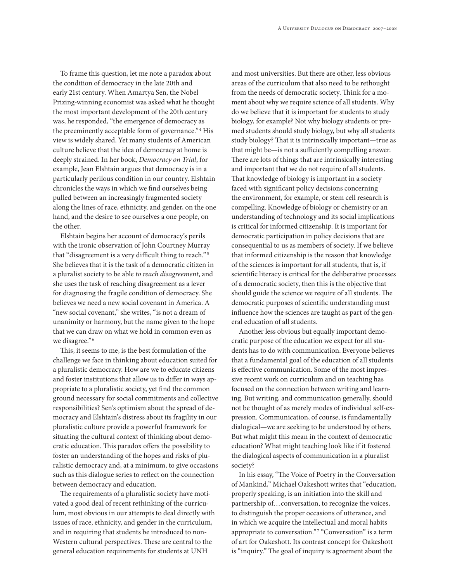To frame this question, let me note a paradox about the condition of democracy in the late 20th and early 21st century. When Amartya Sen, the Nobel Prizing-winning economist was asked what he thought the most important development of the 20th century was, he responded, "the emergence of democracy as the preeminently acceptable form of governance." <sup>4</sup> His view is widely shared. Yet many students of American culture believe that the idea of democracy at home is deeply strained. In her book, *Democracy on Trial*, for example, Jean Elshtain argues that democracy is in a particularly perilous condition in our country. Elshtain chronicles the ways in which we find ourselves being pulled between an increasingly fragmented society along the lines of race, ethnicity, and gender, on the one hand, and the desire to see ourselves a one people, on the other.

Elshtain begins her account of democracy's perils with the ironic observation of John Courtney Murray that "disagreement is a very difficult thing to reach."<sup>5</sup> She believes that it is the task of a democratic citizen in a pluralist society to be able *to reach disagreement*, and she uses the task of reaching disagreement as a lever for diagnosing the fragile condition of democracy. She believes we need a new social covenant in America. A "new social covenant," she writes, "is not a dream of unanimity or harmony, but the name given to the hope that we can draw on what we hold in common even as we disagree."<sup>6</sup>

This, it seems to me, is the best formulation of the challenge we face in thinking about education suited for a pluralistic democracy. How are we to educate citizens and foster institutions that allow us to differ in ways appropriate to a pluralistic society, yet find the common ground necessary for social commitments and collective responsibilities? Sen's optimism about the spread of democracy and Elshtain's distress about its fragility in our pluralistic culture provide a powerful framework for situating the cultural context of thinking about democratic education. This paradox offers the possibility to foster an understanding of the hopes and risks of pluralistic democracy and, at a minimum, to give occasions such as this dialogue series to reflect on the connection between democracy and education.

The requirements of a pluralistic society have motivated a good deal of recent rethinking of the curriculum, most obvious in our attempts to deal directly with issues of race, ethnicity, and gender in the curriculum, and in requiring that students be introduced to non-Western cultural perspectives. These are central to the general education requirements for students at UNH

and most universities. But there are other, less obvious areas of the curriculum that also need to be rethought from the needs of democratic society. Think for a moment about why we require science of all students. Why do we believe that it is important for students to study biology, for example? Not why biology students or premed students should study biology, but why all students study biology? That it is intrinsically important—true as that might be—is not a sufficiently compelling answer. There are lots of things that are intrinsically interesting and important that we do not require of all students. That knowledge of biology is important in a society faced with significant policy decisions concerning the environment, for example, or stem cell research is compelling. Knowledge of biology or chemistry or an understanding of technology and its social implications is critical for informed citizenship. It is important for democratic participation in policy decisions that are consequential to us as members of society. If we believe that informed citizenship is the reason that knowledge of the sciences is important for all students, that is, if scientific literacy is critical for the deliberative processes of a democratic society, then this is the objective that should guide the science we require of all students. The democratic purposes of scientific understanding must influence how the sciences are taught as part of the general education of all students.

Another less obvious but equally important democratic purpose of the education we expect for all students has to do with communication. Everyone believes that a fundamental goal of the education of all students is effective communication. Some of the most impressive recent work on curriculum and on teaching has focused on the connection between writing and learning. But writing, and communication generally, should not be thought of as merely modes of individual self-expression. Communication, of course, is fundamentally dialogical—we are seeking to be understood by others. But what might this mean in the context of democratic education? What might teaching look like if it fostered the dialogical aspects of communication in a pluralist society?

In his essay, "The Voice of Poetry in the Conversation of Mankind," Michael Oakeshott writes that "education, properly speaking, is an initiation into the skill and partnership of…conversation, to recognize the voices, to distinguish the proper occasions of utterance, and in which we acquire the intellectual and moral habits appropriate to conversation."<sup>7</sup> "Conversation" is a term of art for Oakeshott. Its contrast concept for Oakeshott is "inquiry." The goal of inquiry is agreement about the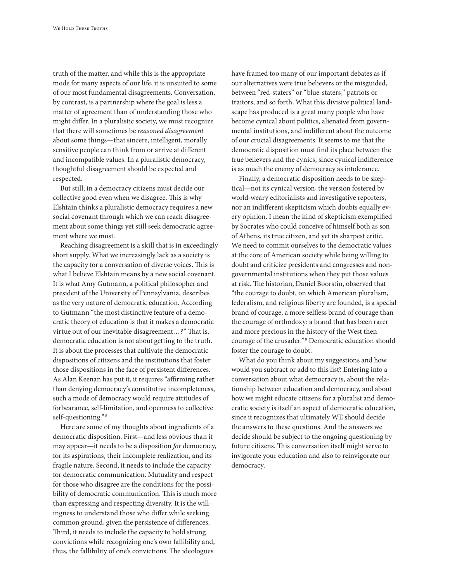truth of the matter, and while this is the appropriate mode for many aspects of our life, it is unsuited to some of our most fundamental disagreements. Conversation, by contrast, is a partnership where the goal is less a matter of agreement than of understanding those who might differ. In a pluralistic society, we must recognize that there will sometimes be *reasoned disagreement* about some things—that sincere, intelligent, morally sensitive people can think from or arrive at different and incompatible values. In a pluralistic democracy, thoughtful disagreement should be expected and respected.

But still, in a democracy citizens must decide our collective good even when we disagree. This is why Elshtain thinks a pluralistic democracy requires a new social covenant through which we can reach disagreement about some things yet still seek democratic agreement where we must.

Reaching disagreement is a skill that is in exceedingly short supply. What we increasingly lack as a society is the capacity for a conversation of diverse voices. This is what I believe Elshtain means by a new social covenant. It is what Amy Gutmann, a political philosopher and president of the University of Pennsylvania, describes as the very nature of democratic education. According to Gutmann "the most distinctive feature of a democratic theory of education is that it makes a democratic virtue out of our inevitable disagreement…?" That is, democratic education is not about getting to the truth. It is about the processes that cultivate the democratic dispositions of citizens and the institutions that foster those dispositions in the face of persistent differences. As Alan Keenan has put it, it requires "affirming rather than denying democracy's constitutive incompleteness, such a mode of democracy would require attitudes of forbearance, self-limitation, and openness to collective self-questioning." <sup>8</sup>

Here are some of my thoughts about ingredients of a democratic disposition. First—and less obvious than it may appear—it needs to be a disposition *for* democracy, for its aspirations, their incomplete realization, and its fragile nature. Second, it needs to include the capacity for democratic communication. Mutuality and respect for those who disagree are the conditions for the possibility of democratic communication. This is much more than expressing and respecting diversity. It is the willingness to understand those who differ while seeking common ground, given the persistence of differences. Third, it needs to include the capacity to hold strong convictions while recognizing one's own fallibility and, thus, the fallibility of one's convictions. The ideologues

have framed too many of our important debates as if our alternatives were true believers or the misguided, between "red-staters" or "blue-staters," patriots or traitors, and so forth. What this divisive political landscape has produced is a great many people who have become cynical about politics, alienated from governmental institutions, and indifferent about the outcome of our crucial disagreements. It seems to me that the democratic disposition must find its place between the true believers and the cynics, since cynical indifference is as much the enemy of democracy as intolerance.

Finally, a democratic disposition needs to be skeptical—not its cynical version, the version fostered by world-weary editorialists and investigative reporters, nor an indifferent skepticism which doubts equally every opinion. I mean the kind of skepticism exemplified by Socrates who could conceive of himself both as son of Athens, its true citizen, and yet its sharpest critic. We need to commit ourselves to the democratic values at the core of American society while being willing to doubt and criticize presidents and congresses and nongovernmental institutions when they put those values at risk. The historian, Daniel Boorstin, observed that "the courage to doubt, on which American pluralism, federalism, and religious liberty are founded, is a special brand of courage, a more selfless brand of courage than the courage of orthodoxy: a brand that has been rarer and more precious in the history of the West then courage of the crusader."<sup>9</sup> Democratic education should foster the courage to doubt.

What do you think about my suggestions and how would you subtract or add to this list? Entering into a conversation about what democracy is, about the relationship between education and democracy, and about how we might educate citizens for a pluralist and democratic society is itself an aspect of democratic education, since it recognizes that ultimately WE should decide the answers to these questions. And the answers we decide should be subject to the ongoing questioning by future citizens. This conversation itself might serve to invigorate your education and also to reinvigorate our democracy.